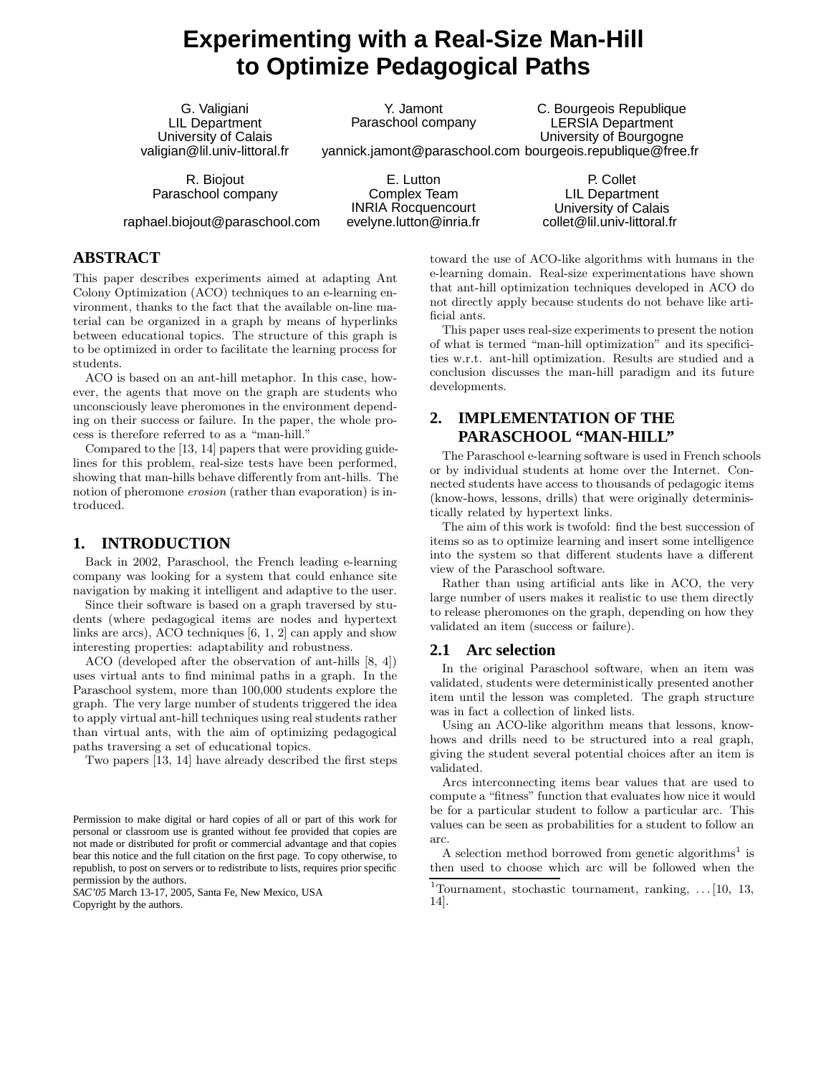# **Experimenting with a Real-Size Man-Hill to Optimize Pedagogical Paths**

Y. Jamont Paraschool company

G. Valigiani LIL Department University of Calais valigian@lil.univ-littoral.fr

R. Biojout Paraschool company

raphael.biojout@paraschool.com

yannick.jamont@paraschool.com bourgeois.republique@free.fr E. Lutton Complex Team INRIA Rocquencourt evelyne.lutton@inria.fr

P. Collet LIL Department University of Calais collet@lil.univ-littoral.fr

C. Bourgeois Republique LERSIA Department University of Bourgogne

## **ABSTRACT**

This paper describes experiments aimed at adapting Ant Colony Optimization (ACO) techniques to an e-learning environment, thanks to the fact that the available on-line material can be organized in a graph by means of hyperlinks between educational topics. The structure of this graph is to be optimized in order to facilitate the learning process for students.

ACO is based on an ant-hill metaphor. In this case, however, the agents that move on the graph are students who unconsciously leave pheromones in the environment depending on their success or failure. In the paper, the whole process is therefore referred to as a "man-hill."

Compared to the [13, 14] papers that were providing guidelines for this problem, real-size tests have been performed, showing that man-hills behave differently from ant-hills. The notion of pheromone erosion (rather than evaporation) is introduced.

## **1. INTRODUCTION**

Back in 2002, Paraschool, the French leading e-learning company was looking for a system that could enhance site navigation by making it intelligent and adaptive to the user.

Since their software is based on a graph traversed by students (where pedagogical items are nodes and hypertext links are arcs), ACO techniques [6, 1, 2] can apply and show interesting properties: adaptability and robustness.

ACO (developed after the observation of ant-hills [8, 4]) uses virtual ants to find minimal paths in a graph. In the Paraschool system, more than 100,000 students explore the graph. The very large number of students triggered the idea to apply virtual ant-hill techniques using real students rather than virtual ants, with the aim of optimizing pedagogical paths traversing a set of educational topics.

Two papers [13, 14] have already described the first steps

*SAC'05* March 13-17, 2005, Santa Fe, New Mexico, USA Copyright by the authors.

toward the use of ACO-like algorithms with humans in the e-learning domain. Real-size experimentations have shown that ant-hill optimization techniques developed in ACO do not directly apply because students do not behave like artificial ants.

This paper uses real-size experiments to present the notion of what is termed "man-hill optimization" and its specificities w.r.t. ant-hill optimization. Results are studied and a conclusion discusses the man-hill paradigm and its future developments.

# **2. IMPLEMENTATION OF THE PARASCHOOL "MAN-HILL"**

The Paraschool e-learning software is used in French schools or by individual students at home over the Internet. Connected students have access to thousands of pedagogic items (know-hows, lessons, drills) that were originally deterministically related by hypertext links.

The aim of this work is twofold: find the best succession of items so as to optimize learning and insert some intelligence into the system so that different students have a different view of the Paraschool software.

Rather than using artificial ants like in ACO, the very large number of users makes it realistic to use them directly to release pheromones on the graph, depending on how they validated an item (success or failure).

## **2.1 Arc selection**

In the original Paraschool software, when an item was validated, students were deterministically presented another item until the lesson was completed. The graph structure was in fact a collection of linked lists.

Using an ACO-like algorithm means that lessons, knowhows and drills need to be structured into a real graph, giving the student several potential choices after an item is validated.

Arcs interconnecting items bear values that are used to compute a "fitness" function that evaluates how nice it would be for a particular student to follow a particular arc. This values can be seen as probabilities for a student to follow an arc.

A selection method borrowed from genetic algorithms<sup>1</sup> is then used to choose which arc will be followed when the

Permission to make digital or hard copies of all or part of this work for personal or classroom use is granted without fee provided that copies are not made or distributed for profit or commercial advantage and that copies bear this notice and the full citation on the first page. To copy otherwise, to republish, to post on servers or to redistribute to lists, requires prior specific permission by the authors.

<sup>&</sup>lt;sup>1</sup>Tournament, stochastic tournament, ranking,  $\dots$  [10, 13, 14].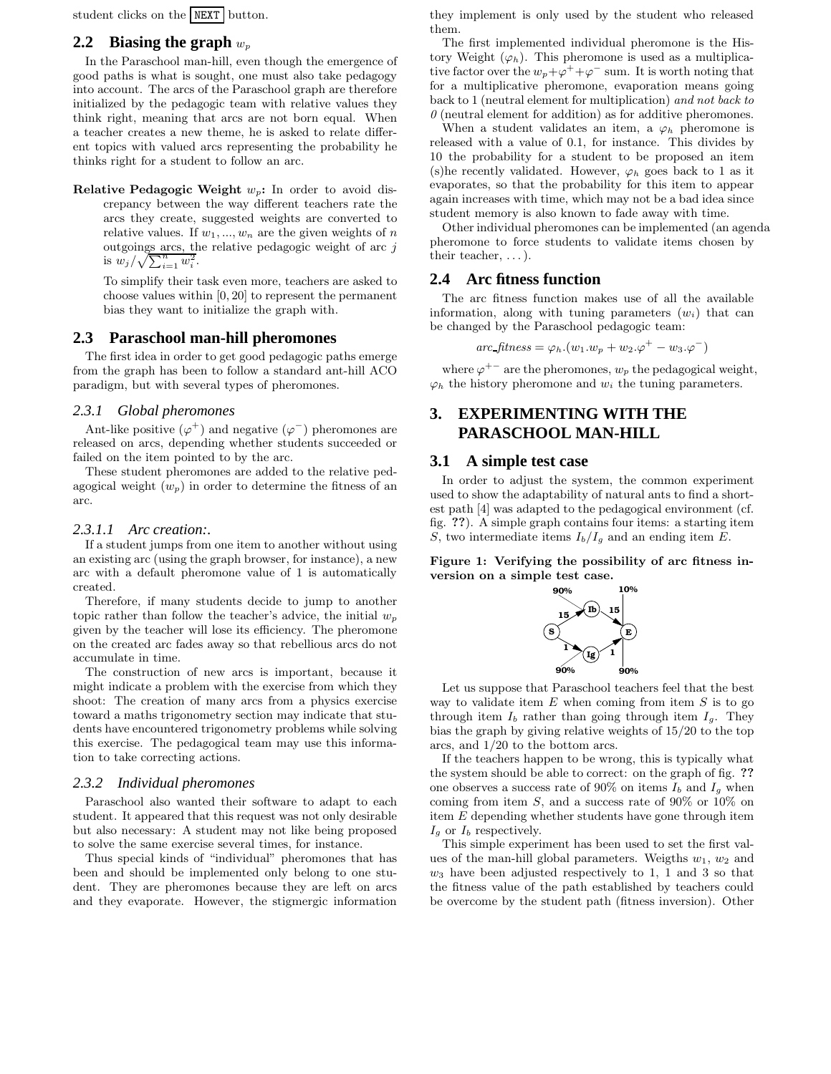student clicks on the NEXT button.

## **2.2 Biasing the graph**  $w_p$

In the Paraschool man-hill, even though the emergence of good paths is what is sought, one must also take pedagogy into account. The arcs of the Paraschool graph are therefore initialized by the pedagogic team with relative values they think right, meaning that arcs are not born equal. When a teacher creates a new theme, he is asked to relate different topics with valued arcs representing the probability he thinks right for a student to follow an arc.

**Relative Pedagogic Weight**  $w_p$ : In order to avoid discrepancy between the way different teachers rate the arcs they create, suggested weights are converted to relative values. If  $w_1, ..., w_n$  are the given weights of n outgoings arcs, the relative pedagogic weight of arc  $j$ is  $w_j/\sqrt{\sum_{i=1}^n w_i^2}$ .

To simplify their task even more, teachers are asked to choose values within [0, 20] to represent the permanent bias they want to initialize the graph with.

## **2.3 Paraschool man-hill pheromones**

The first idea in order to get good pedagogic paths emerge from the graph has been to follow a standard ant-hill ACO paradigm, but with several types of pheromones.

#### *2.3.1 Global pheromones*

Ant-like positive  $(\varphi^+)$  and negative  $(\varphi^-)$  pheromones are released on arcs, depending whether students succeeded or failed on the item pointed to by the arc.

These student pheromones are added to the relative pedagogical weight  $(w_p)$  in order to determine the fitness of an arc.

#### *2.3.1.1 Arc creation:.*

If a student jumps from one item to another without using an existing arc (using the graph browser, for instance), a new arc with a default pheromone value of 1 is automatically created.

Therefore, if many students decide to jump to another topic rather than follow the teacher's advice, the initial  $w_n$ given by the teacher will lose its efficiency. The pheromone on the created arc fades away so that rebellious arcs do not accumulate in time.

The construction of new arcs is important, because it might indicate a problem with the exercise from which they shoot: The creation of many arcs from a physics exercise toward a maths trigonometry section may indicate that students have encountered trigonometry problems while solving this exercise. The pedagogical team may use this information to take correcting actions.

#### *2.3.2 Individual pheromones*

Paraschool also wanted their software to adapt to each student. It appeared that this request was not only desirable but also necessary: A student may not like being proposed to solve the same exercise several times, for instance.

Thus special kinds of "individual" pheromones that has been and should be implemented only belong to one student. They are pheromones because they are left on arcs and they evaporate. However, the stigmergic information

they implement is only used by the student who released them.

The first implemented individual pheromone is the History Weight  $(\varphi_h)$ . This pheromone is used as a multiplicative factor over the  $w_p + \varphi^+ + \varphi^-$  sum. It is worth noting that for a multiplicative pheromone, evaporation means going back to 1 (neutral element for multiplication) and not back to  $\theta$  (neutral element for addition) as for additive pheromones.

When a student validates an item, a  $\varphi_h$  pheromone is released with a value of 0.1, for instance. This divides by 10 the probability for a student to be proposed an item (s)he recently validated. However,  $\varphi_h$  goes back to 1 as it evaporates, so that the probability for this item to appear again increases with time, which may not be a bad idea since student memory is also known to fade away with time.

Other individual pheromones can be implemented (an agenda pheromone to force students to validate items chosen by their teacher,  $\dots$ ).

## **2.4 Arc fitness function**

The arc fitness function makes use of all the available information, along with tuning parameters  $(w_i)$  that can be changed by the Paraschool pedagogic team:

$$
arc\_fitness = \varphi_h.(w_1.w_p + w_2.\varphi^+ - w_3.\varphi^-)
$$

where  $\varphi^{+-}$  are the pheromones,  $w_p$  the pedagogical weight,  $\varphi_h$  the history pheromone and  $w_i$  the tuning parameters.

## **3. EXPERIMENTING WITH THE PARASCHOOL MAN-HILL**

## **3.1 A simple test case**

In order to adjust the system, the common experiment used to show the adaptability of natural ants to find a shortest path [4] was adapted to the pedagogical environment (cf. fig. ??). A simple graph contains four items: a starting item S, two intermediate items  $I_b/I_g$  and an ending item E.

Figure 1: Verifying the possibility of arc fitness inversion on a simple test case.



Let us suppose that Paraschool teachers feel that the best way to validate item  $E$  when coming from item  $S$  is to go through item  $I_b$  rather than going through item  $I_g$ . They bias the graph by giving relative weights of 15/20 to the top arcs, and 1/20 to the bottom arcs.

If the teachers happen to be wrong, this is typically what the system should be able to correct: on the graph of fig. ?? one observes a success rate of 90% on items  $I_b$  and  $I_q$  when coming from item  $S$ , and a success rate of 90% or 10% on item E depending whether students have gone through item  $I_q$  or  $I_b$  respectively.

This simple experiment has been used to set the first values of the man-hill global parameters. Weigths  $w_1, w_2$  and  $w_3$  have been adjusted respectively to 1, 1 and 3 so that the fitness value of the path established by teachers could be overcome by the student path (fitness inversion). Other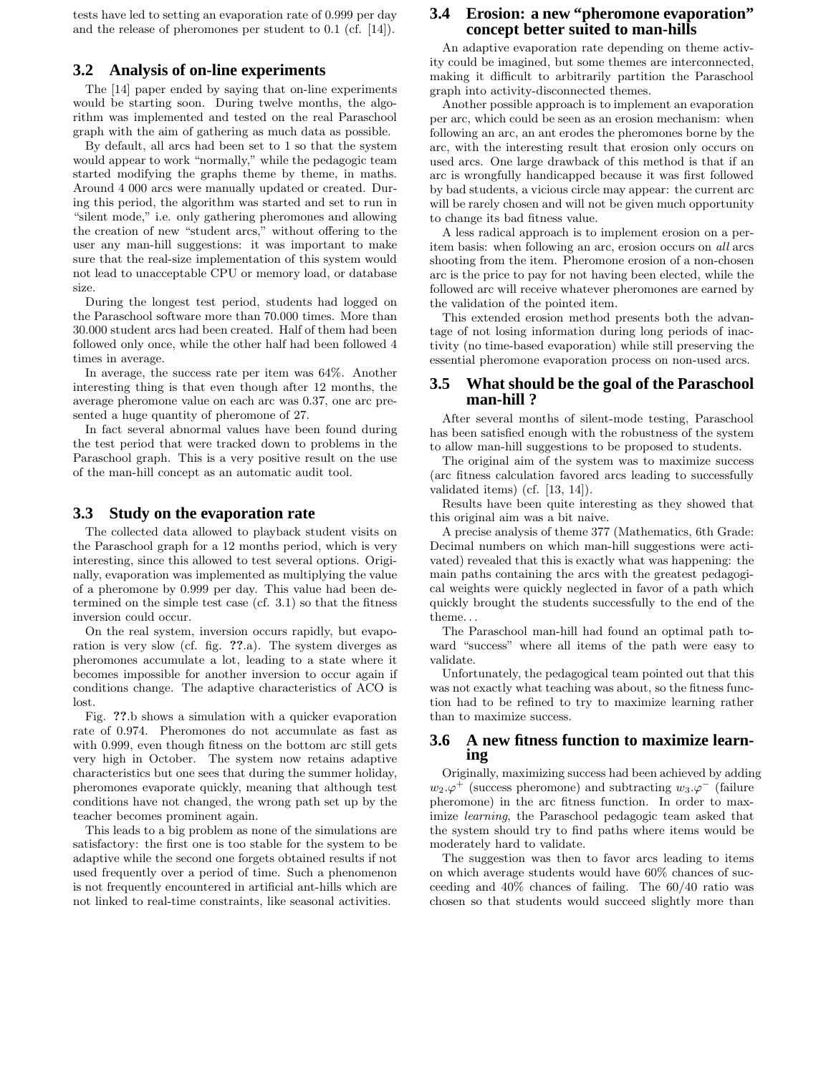tests have led to setting an evaporation rate of 0.999 per day and the release of pheromones per student to 0.1 (cf. [14]).

#### **3.2 Analysis of on-line experiments**

The [14] paper ended by saying that on-line experiments would be starting soon. During twelve months, the algorithm was implemented and tested on the real Paraschool graph with the aim of gathering as much data as possible.

By default, all arcs had been set to 1 so that the system would appear to work "normally," while the pedagogic team started modifying the graphs theme by theme, in maths. Around 4 000 arcs were manually updated or created. During this period, the algorithm was started and set to run in "silent mode," i.e. only gathering pheromones and allowing the creation of new "student arcs," without offering to the user any man-hill suggestions: it was important to make sure that the real-size implementation of this system would not lead to unacceptable CPU or memory load, or database size.

During the longest test period, students had logged on the Paraschool software more than 70.000 times. More than 30.000 student arcs had been created. Half of them had been followed only once, while the other half had been followed 4 times in average.

In average, the success rate per item was 64%. Another interesting thing is that even though after 12 months, the average pheromone value on each arc was 0.37, one arc presented a huge quantity of pheromone of 27.

In fact several abnormal values have been found during the test period that were tracked down to problems in the Paraschool graph. This is a very positive result on the use of the man-hill concept as an automatic audit tool.

#### **3.3 Study on the evaporation rate**

The collected data allowed to playback student visits on the Paraschool graph for a 12 months period, which is very interesting, since this allowed to test several options. Originally, evaporation was implemented as multiplying the value of a pheromone by 0.999 per day. This value had been determined on the simple test case (cf. 3.1) so that the fitness inversion could occur.

On the real system, inversion occurs rapidly, but evaporation is very slow (cf. fig. ??.a). The system diverges as pheromones accumulate a lot, leading to a state where it becomes impossible for another inversion to occur again if conditions change. The adaptive characteristics of ACO is lost.

Fig. ??.b shows a simulation with a quicker evaporation rate of 0.974. Pheromones do not accumulate as fast as with 0.999, even though fitness on the bottom arc still gets very high in October. The system now retains adaptive characteristics but one sees that during the summer holiday, pheromones evaporate quickly, meaning that although test conditions have not changed, the wrong path set up by the teacher becomes prominent again.

This leads to a big problem as none of the simulations are satisfactory: the first one is too stable for the system to be adaptive while the second one forgets obtained results if not used frequently over a period of time. Such a phenomenon is not frequently encountered in artificial ant-hills which are not linked to real-time constraints, like seasonal activities.

## **3.4 Erosion: a new "pheromone evaporation" concept better suited to man-hills**

An adaptive evaporation rate depending on theme activity could be imagined, but some themes are interconnected, making it difficult to arbitrarily partition the Paraschool graph into activity-disconnected themes.

Another possible approach is to implement an evaporation per arc, which could be seen as an erosion mechanism: when following an arc, an ant erodes the pheromones borne by the arc, with the interesting result that erosion only occurs on used arcs. One large drawback of this method is that if an arc is wrongfully handicapped because it was first followed by bad students, a vicious circle may appear: the current arc will be rarely chosen and will not be given much opportunity to change its bad fitness value.

A less radical approach is to implement erosion on a peritem basis: when following an arc, erosion occurs on all arcs shooting from the item. Pheromone erosion of a non-chosen arc is the price to pay for not having been elected, while the followed arc will receive whatever pheromones are earned by the validation of the pointed item.

This extended erosion method presents both the advantage of not losing information during long periods of inactivity (no time-based evaporation) while still preserving the essential pheromone evaporation process on non-used arcs.

#### **3.5 What should be the goal of the Paraschool man-hill ?**

After several months of silent-mode testing, Paraschool has been satisfied enough with the robustness of the system to allow man-hill suggestions to be proposed to students.

The original aim of the system was to maximize success (arc fitness calculation favored arcs leading to successfully validated items) (cf. [13, 14]).

Results have been quite interesting as they showed that this original aim was a bit naive.

A precise analysis of theme 377 (Mathematics, 6th Grade: Decimal numbers on which man-hill suggestions were activated) revealed that this is exactly what was happening: the main paths containing the arcs with the greatest pedagogical weights were quickly neglected in favor of a path which quickly brought the students successfully to the end of the theme. . .

The Paraschool man-hill had found an optimal path toward "success" where all items of the path were easy to validate.

Unfortunately, the pedagogical team pointed out that this was not exactly what teaching was about, so the fitness function had to be refined to try to maximize learning rather than to maximize success.

## **3.6 A new fitness function to maximize learning**

Originally, maximizing success had been achieved by adding  $w_2.\varphi^+$  (success pheromone) and subtracting  $w_3.\varphi^-$  (failure pheromone) in the arc fitness function. In order to maximize learning, the Paraschool pedagogic team asked that the system should try to find paths where items would be moderately hard to validate.

The suggestion was then to favor arcs leading to items on which average students would have 60% chances of succeeding and 40% chances of failing. The 60/40 ratio was chosen so that students would succeed slightly more than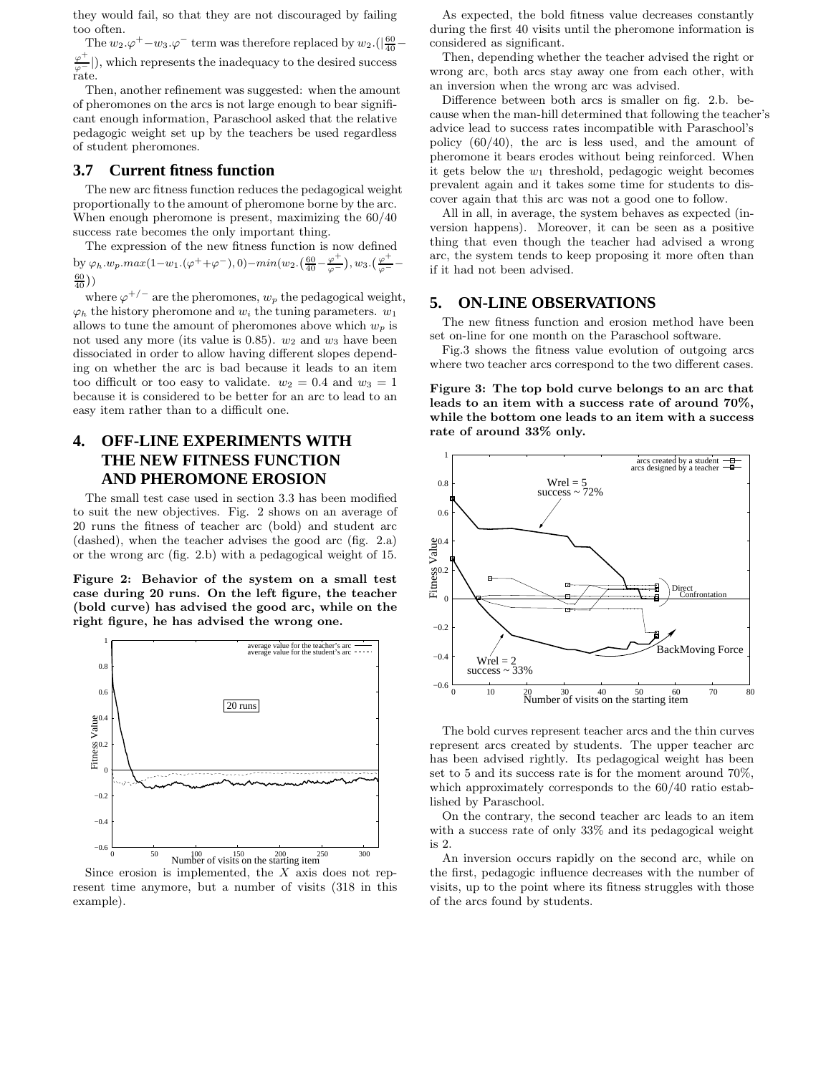they would fail, so that they are not discouraged by failing too often.

The  $w_2.\varphi^+ - w_3.\varphi^-$  term was therefore replaced by  $w_2.(|\frac{60}{40} - \varphi|)$  $\frac{\varphi^+}{\varphi^-}$ ), which represents the inadequacy to the desired success rate.

Then, another refinement was suggested: when the amount of pheromones on the arcs is not large enough to bear significant enough information, Paraschool asked that the relative pedagogic weight set up by the teachers be used regardless of student pheromones.

## **3.7 Current fitness function**

The new arc fitness function reduces the pedagogical weight proportionally to the amount of pheromone borne by the arc. When enough pheromone is present, maximizing the 60/40 success rate becomes the only important thing.

The expression of the new fitness function is now defined by  $\varphi_h w_p.max(1-w_1.(\varphi^+ + \varphi^-), 0) - min(w_2.(\frac{60}{40} - \frac{\varphi^+}{\varphi^-}), w_3.(\frac{\varphi^+}{\varphi^-} - \varphi^-))$  $\frac{60}{40})$ 

where  $\varphi^{+/-}$  are the pheromones,  $w_p$  the pedagogical weight,  $\varphi_h$  the history pheromone and  $w_i$  the tuning parameters.  $w_1$ allows to tune the amount of pheromones above which  $w_p$  is not used any more (its value is  $0.85$ ).  $w_2$  and  $w_3$  have been dissociated in order to allow having different slopes depending on whether the arc is bad because it leads to an item too difficult or too easy to validate.  $w_2 = 0.4$  and  $w_3 = 1$ because it is considered to be better for an arc to lead to an easy item rather than to a difficult one.

# **4. OFF-LINE EXPERIMENTS WITH THE NEW FITNESS FUNCTION AND PHEROMONE EROSION**

The small test case used in section 3.3 has been modified to suit the new objectives. Fig. 2 shows on an average of 20 runs the fitness of teacher arc (bold) and student arc (dashed), when the teacher advises the good arc (fig. 2.a) or the wrong arc (fig. 2.b) with a pedagogical weight of 15.

Figure 2: Behavior of the system on a small test case during 20 runs. On the left figure, the teacher (bold curve) has advised the good arc, while on the right figure, he has advised the wrong one.



Since erosion is implemented, the  $X$  axis does not represent time anymore, but a number of visits (318 in this example).

As expected, the bold fitness value decreases constantly during the first 40 visits until the pheromone information is considered as significant.

Then, depending whether the teacher advised the right or wrong arc, both arcs stay away one from each other, with an inversion when the wrong arc was advised.

Difference between both arcs is smaller on fig. 2.b. because when the man-hill determined that following the teacher's advice lead to success rates incompatible with Paraschool's policy (60/40), the arc is less used, and the amount of pheromone it bears erodes without being reinforced. When it gets below the  $w_1$  threshold, pedagogic weight becomes prevalent again and it takes some time for students to discover again that this arc was not a good one to follow.

All in all, in average, the system behaves as expected (inversion happens). Moreover, it can be seen as a positive thing that even though the teacher had advised a wrong arc, the system tends to keep proposing it more often than if it had not been advised.

## **5. ON-LINE OBSERVATIONS**

The new fitness function and erosion method have been set on-line for one month on the Paraschool software.

Fig.3 shows the fitness value evolution of outgoing arcs where two teacher arcs correspond to the two different cases.

Figure 3: The top bold curve belongs to an arc that leads to an item with a success rate of around 70%, while the bottom one leads to an item with a success rate of around 33% only.



The bold curves represent teacher arcs and the thin curves represent arcs created by students. The upper teacher arc has been advised rightly. Its pedagogical weight has been set to 5 and its success rate is for the moment around 70%, which approximately corresponds to the 60/40 ratio established by Paraschool.

On the contrary, the second teacher arc leads to an item with a success rate of only 33% and its pedagogical weight is 2.

An inversion occurs rapidly on the second arc, while on the first, pedagogic influence decreases with the number of visits, up to the point where its fitness struggles with those of the arcs found by students.